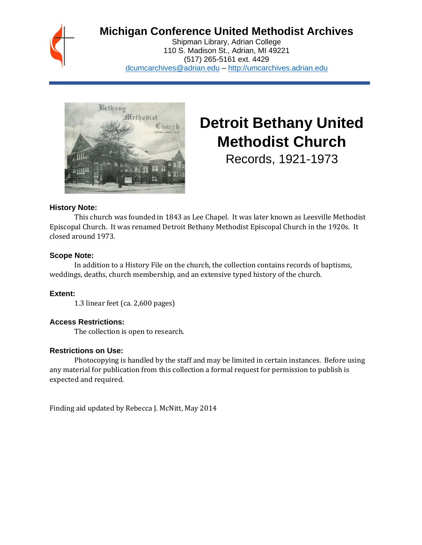## **Michigan Conference United Methodist Archives**

Shipman Library, Adrian College 110 S. Madison St., Adrian, MI 49221 (517) 265-5161 ext. 4429 [dcumcarchives@adrian.edu](mailto:dcumcarchives@adrian.edu) – [http://umcarchives.adrian.edu](http://umcarchives.adrian.edu/)



# **Detroit Bethany United Methodist Church**

Records, 1921-1973

#### **History Note:**

This church was founded in 1843 as Lee Chapel. It was later known as Leesville Methodist Episcopal Church. It was renamed Detroit Bethany Methodist Episcopal Church in the 1920s. It closed around 1973.

#### **Scope Note:**

In addition to a History File on the church, the collection contains records of baptisms, weddings, deaths, church membership, and an extensive typed history of the church.

#### **Extent:**

1.3 linear feet (ca. 2,600 pages)

#### **Access Restrictions:**

The collection is open to research.

#### **Restrictions on Use:**

Photocopying is handled by the staff and may be limited in certain instances. Before using any material for publication from this collection a formal request for permission to publish is expected and required.

Finding aid updated by Rebecca J. McNitt, May 2014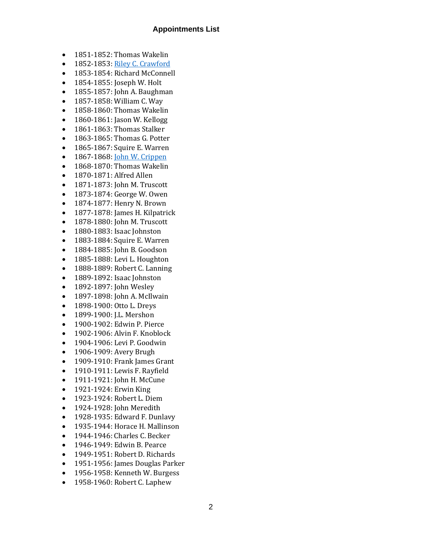#### **Appointments List**

- 1851-1852: Thomas Wakelin
- 1852-1853[: Riley C. Crawford](http://umcarchives.adrian.edu/clergy/crawfordrc.php)
- 1853-1854: Richard McConnell
- 1854-1855: Joseph W. Holt
- 1855-1857: John A. Baughman
- 1857-1858: William C. Way
- 1858-1860: Thomas Wakelin
- 1860-1861: Jason W. Kellogg
- 1861-1863: Thomas Stalker
- 1863-1865: Thomas G. Potter
- 1865-1867: Squire E. Warren
- 1867-1868[: John W. Crippen](http://umcarchives.adrian.edu/clergy/crippenjw.php)
- 1868-1870: Thomas Wakelin
- 1870-1871: Alfred Allen
- 1871-1873: John M. Truscott
- 1873-1874: George W. Owen
- 1874-1877: Henry N. Brown
- 1877-1878: James H. Kilpatrick
- 1878-1880: John M. Truscott
- 1880-1883: Isaac Johnston
- 1883-1884: Squire E. Warren
- 1884-1885: John B. Goodson
- 1885-1888: Levi L. Houghton
- 1888-1889: Robert C. Lanning
- 1889-1892: Isaac Johnston
- 1892-1897: John Wesley
- 1897-1898: John A. McIlwain
- 1898-1900: Otto L. Dreys
- 1899-1900: J.L. Mershon
- 1900-1902: Edwin P. Pierce
- 1902-1906: Alvin F. Knoblock
- 1904-1906: Levi P. Goodwin
- 1906-1909: Avery Brugh
- 1909-1910: Frank James Grant
- 1910-1911: Lewis F. Rayfield
- 1911-1921: John H. McCune
- 1921-1924: Erwin King
- 1923-1924: Robert L. Diem
- 1924-1928: John Meredith
- 1928-1935: Edward F. Dunlavy
- 1935-1944: Horace H. Mallinson
- 1944-1946: Charles C. Becker
- 1946-1949: Edwin B. Pearce
- 1949-1951: Robert D. Richards
- 1951-1956: James Douglas Parker
- 1956-1958: Kenneth W. Burgess
- 1958-1960: Robert C. Laphew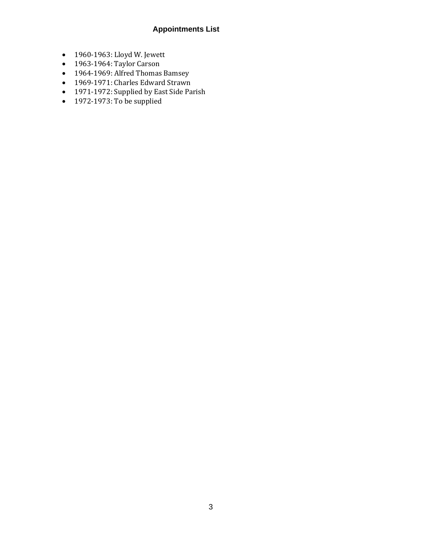### **Appointments List**

- 1960-1963: Lloyd W. Jewett
- 1963-1964: Taylor Carson
- 1964-1969: Alfred Thomas Bamsey
- 1969-1971: Charles Edward Strawn
- 1971-1972: Supplied by East Side Parish
- 1972-1973: To be supplied